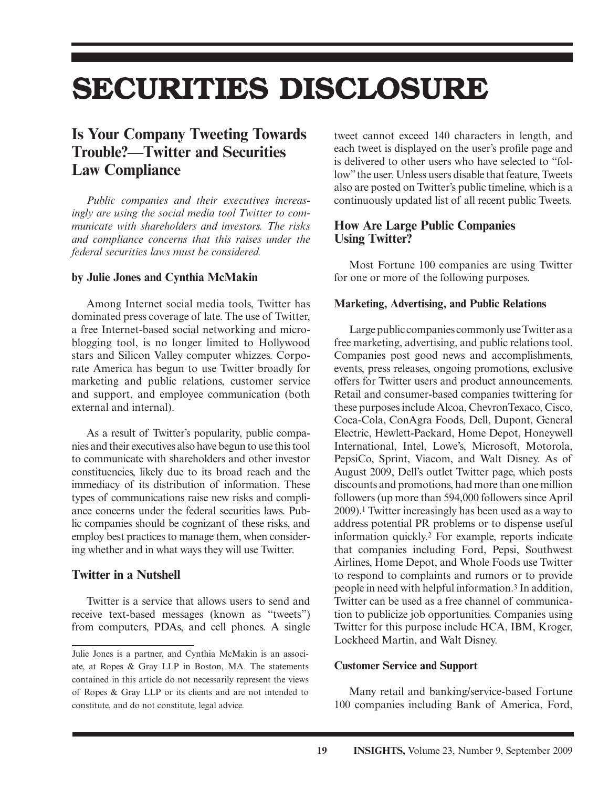# **SECURITIES DISCLOSURE**

# **Is Your Company Tweeting Towards Trouble?—Twitter and Securities Law Compliance**

 *Public companies and their executives increasingly are using the social media tool Twitter to communicate with shareholders and investors. The risks and compliance concerns that this raises under the federal securities laws must be considered.* 

#### **by Julie Jones and Cynthia McMakin**

 Among Internet social media tools, Twitter has dominated press coverage of late. The use of Twitter, a free Internet-based social networking and microblogging tool, is no longer limited to Hollywood stars and Silicon Valley computer whizzes. Corporate America has begun to use Twitter broadly for marketing and public relations, customer service and support, and employee communication (both external and internal).

 As a result of Twitter's popularity, public companies and their executives also have begun to use this tool to communicate with shareholders and other investor constituencies, likely due to its broad reach and the immediacy of its distribution of information. These types of communications raise new risks and compliance concerns under the federal securities laws. Public companies should be cognizant of these risks, and employ best practices to manage them, when considering whether and in what ways they will use Twitter.

# **Twitter in a Nutshell**

 Twitter is a service that allows users to send and receive text-based messages (known as "tweets") from computers, PDAs, and cell phones. A single

tweet cannot exceed 140 characters in length, and each tweet is displayed on the user's profile page and is delivered to other users who have selected to "follow" the user. Unless users disable that feature, Tweets also are posted on Twitter's public timeline, which is a continuously updated list of all recent public Tweets.

## **How Are Large Public Companies Using Twitter?**

 Most Fortune 100 companies are using Twitter for one or more of the following purposes.

#### **Marketing, Advertising, and Public Relations**

 Large public companies commonly use Twitter as a free marketing, advertising, and public relations tool. Companies post good news and accomplishments, events, press releases, ongoing promotions, exclusive offers for Twitter users and product announcements. Retail and consumer-based companies twittering for these purposes include Alcoa, ChevronTexaco, Cisco, Coca-Cola, ConAgra Foods, Dell, Dupont, General Electric, Hewlett-Packard, Home Depot, Honeywell International, Intel, Lowe's, Microsoft, Motorola, PepsiCo, Sprint, Viacom, and Walt Disney. As of August 2009, Dell's outlet Twitter page, which posts discounts and promotions, had more than one million followers (up more than 594,000 followers since April 2009). 1 Twitter increasingly has been used as a way to address potential PR problems or to dispense useful information quickly.<sup>2</sup> For example, reports indicate that companies including Ford, Pepsi, Southwest Airlines, Home Depot, and Whole Foods use Twitter to respond to complaints and rumors or to provide people in need with helpful information. 3 In addition, Twitter can be used as a free channel of communication to publicize job opportunities. Companies using Twitter for this purpose include HCA, IBM, Kroger, Lockheed Martin, and Walt Disney.

#### **Customer Service and Support**

 Many retail and banking/service-based Fortune 100 companies including Bank of America, Ford,

Julie Jones is a partner, and Cynthia McMakin is an associate, at Ropes & Gray LLP in Boston, MA. The statements contained in this article do not necessarily represent the views of Ropes & Gray LLP or its clients and are not intended to constitute, and do not constitute, legal advice.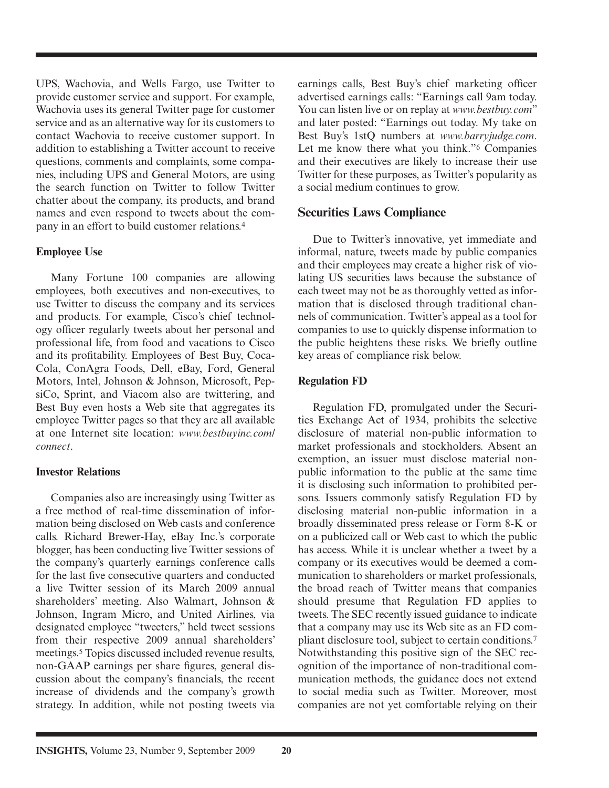UPS, Wachovia, and Wells Fargo, use Twitter to provide customer service and support. For example, Wachovia uses its general Twitter page for customer service and as an alternative way for its customers to contact Wachovia to receive customer support. In addition to establishing a Twitter account to receive questions, comments and complaints, some companies, including UPS and General Motors, are using the search function on Twitter to follow Twitter chatter about the company, its products, and brand names and even respond to tweets about the company in an effort to build customer relations. 4

#### **Employee Use**

 Many Fortune 100 companies are allowing employees, both executives and non-executives, to use Twitter to discuss the company and its services and products. For example, Cisco's chief technology officer regularly tweets about her personal and professional life, from food and vacations to Cisco and its profitability. Employees of Best Buy, Coca-Cola, ConAgra Foods, Dell, eBay, Ford, General Motors, Intel, Johnson & Johnson, Microsoft, PepsiCo, Sprint, and Viacom also are twittering, and Best Buy even hosts a Web site that aggregates its employee Twitter pages so that they are all available at one Internet site location: *www.bestbuyinc.com/ connect* .

#### **Investor Relations**

 Companies also are increasingly using Twitter as a free method of real-time dissemination of information being disclosed on Web casts and conference calls. Richard Brewer-Hay, eBay Inc.'s corporate blogger, has been conducting live Twitter sessions of the company's quarterly earnings conference calls for the last five consecutive quarters and conducted a live Twitter session of its March 2009 annual shareholders' meeting. Also Walmart, Johnson & Johnson, Ingram Micro, and United Airlines, via designated employee "tweeters," held tweet sessions from their respective 2009 annual shareholders' meetings.<sup>5</sup> Topics discussed included revenue results, non-GAAP earnings per share figures, general discussion about the company's financials, the recent increase of dividends and the company's growth strategy. In addition, while not posting tweets via earnings calls, Best Buy's chief marketing officer advertised earnings calls: "Earnings call 9am today. You can listen live or on replay at *www.bestbuy.com*" and later posted: "Earnings out today. My take on Best Buy's 1stQ numbers at *www.barryjudge.com* . Let me know there what you think."<sup>6</sup> Companies and their executives are likely to increase their use Twitter for these purposes, as Twitter's popularity as a social medium continues to grow.

### **Securities Laws Compliance**

 Due to Twitter's innovative, yet immediate and informal, nature, tweets made by public companies and their employees may create a higher risk of violating US securities laws because the substance of each tweet may not be as thoroughly vetted as information that is disclosed through traditional channels of communication. Twitter's appeal as a tool for companies to use to quickly dispense information to the public heightens these risks. We briefly outline key areas of compliance risk below.

#### **Regulation FD**

 Regulation FD, promulgated under the Securities Exchange Act of 1934, prohibits the selective disclosure of material non-public information to market professionals and stockholders. Absent an exemption, an issuer must disclose material nonpublic information to the public at the same time it is disclosing such information to prohibited persons. Issuers commonly satisfy Regulation FD by disclosing material non-public information in a broadly disseminated press release or Form 8-K or on a publicized call or Web cast to which the public has access. While it is unclear whether a tweet by a company or its executives would be deemed a communication to shareholders or market professionals, the broad reach of Twitter means that companies should presume that Regulation FD applies to tweets. The SEC recently issued guidance to indicate that a company may use its Web site as an FD compliant disclosure tool, subject to certain conditions. 7 Notwithstanding this positive sign of the SEC recognition of the importance of non-traditional communication methods, the guidance does not extend to social media such as Twitter. Moreover, most companies are not yet comfortable relying on their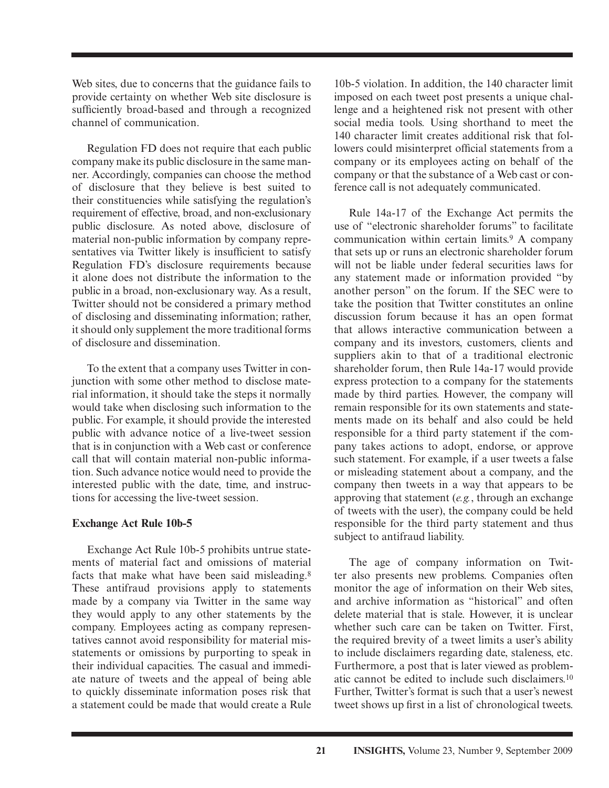Web sites, due to concerns that the guidance fails to provide certainty on whether Web site disclosure is sufficiently broad-based and through a recognized channel of communication.

 Regulation FD does not require that each public company make its public disclosure in the same manner. Accordingly, companies can choose the method of disclosure that they believe is best suited to their constituencies while satisfying the regulation's requirement of effective, broad, and non-exclusionary public disclosure. As noted above, disclosure of material non-public information by company representatives via Twitter likely is insufficient to satisfy Regulation FD's disclosure requirements because it alone does not distribute the information to the public in a broad, non-exclusionary way. As a result, Twitter should not be considered a primary method of disclosing and disseminating information; rather, it should only supplement the more traditional forms of disclosure and dissemination.

 To the extent that a company uses Twitter in conjunction with some other method to disclose material information, it should take the steps it normally would take when disclosing such information to the public. For example, it should provide the interested public with advance notice of a live-tweet session that is in conjunction with a Web cast or conference call that will contain material non-public information. Such advance notice would need to provide the interested public with the date, time, and instructions for accessing the live-tweet session.

#### **Exchange Act Rule 10b-5**

 Exchange Act Rule 10b-5 prohibits untrue statements of material fact and omissions of material facts that make what have been said misleading. 8 These antifraud provisions apply to statements made by a company via Twitter in the same way they would apply to any other statements by the company. Employees acting as company representatives cannot avoid responsibility for material misstatements or omissions by purporting to speak in their individual capacities. The casual and immediate nature of tweets and the appeal of being able to quickly disseminate information poses risk that a statement could be made that would create a Rule

10b-5 violation. In addition, the 140 character limit imposed on each tweet post presents a unique challenge and a heightened risk not present with other social media tools. Using shorthand to meet the 140 character limit creates additional risk that followers could misinterpret official statements from a company or its employees acting on behalf of the company or that the substance of a Web cast or conference call is not adequately communicated.

 Rule 14a-17 of the Exchange Act permits the use of "electronic shareholder forums" to facilitate communication within certain limits. 9 A company that sets up or runs an electronic shareholder forum will not be liable under federal securities laws for any statement made or information provided "by another person" on the forum. If the SEC were to take the position that Twitter constitutes an online discussion forum because it has an open format that allows interactive communication between a company and its investors, customers, clients and suppliers akin to that of a traditional electronic shareholder forum, then Rule 14a-17 would provide express protection to a company for the statements made by third parties. However, the company will remain responsible for its own statements and statements made on its behalf and also could be held responsible for a third party statement if the company takes actions to adopt, endorse, or approve such statement. For example, if a user tweets a false or misleading statement about a company, and the company then tweets in a way that appears to be approving that statement (*e.g.*, through an exchange of tweets with the user), the company could be held responsible for the third party statement and thus subject to antifraud liability.

 The age of company information on Twitter also presents new problems. Companies often monitor the age of information on their Web sites, and archive information as "historical" and often delete material that is stale. However, it is unclear whether such care can be taken on Twitter. First, the required brevity of a tweet limits a user's ability to include disclaimers regarding date, staleness, etc. Furthermore, a post that is later viewed as problematic cannot be edited to include such disclaimers. 10 Further, Twitter's format is such that a user's newest tweet shows up first in a list of chronological tweets.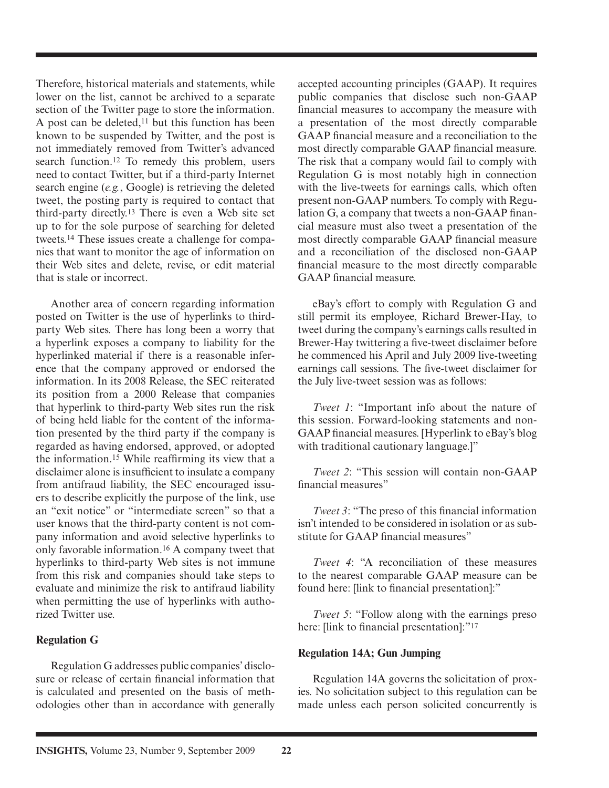Therefore, historical materials and statements, while lower on the list, cannot be archived to a separate section of the Twitter page to store the information. A post can be deleted, 11 but this function has been known to be suspended by Twitter, and the post is not immediately removed from Twitter's advanced search function.<sup>12</sup> To remedy this problem, users need to contact Twitter, but if a third-party Internet search engine (*e.g.*, Google) is retrieving the deleted tweet, the posting party is required to contact that third-party directly. 13 There is even a Web site set up to for the sole purpose of searching for deleted tweets. 14 These issues create a challenge for companies that want to monitor the age of information on their Web sites and delete, revise, or edit material that is stale or incorrect.

 Another area of concern regarding information posted on Twitter is the use of hyperlinks to thirdparty Web sites. There has long been a worry that a hyperlink exposes a company to liability for the hyperlinked material if there is a reasonable inference that the company approved or endorsed the information. In its 2008 Release, the SEC reiterated its position from a 2000 Release that companies that hyperlink to third-party Web sites run the risk of being held liable for the content of the information presented by the third party if the company is regarded as having endorsed, approved, or adopted the information.<sup>15</sup> While reaffirming its view that a disclaimer alone is insufficient to insulate a company from antifraud liability, the SEC encouraged issuers to describe explicitly the purpose of the link, use an "exit notice" or "intermediate screen" so that a user knows that the third-party content is not company information and avoid selective hyperlinks to only favorable information. 16 A company tweet that hyperlinks to third-party Web sites is not immune from this risk and companies should take steps to evaluate and minimize the risk to antifraud liability when permitting the use of hyperlinks with authorized Twitter use.

#### **Regulation G**

 Regulation G addresses public companies' disclosure or release of certain financial information that is calculated and presented on the basis of methodologies other than in accordance with generally

accepted accounting principles (GAAP). It requires public companies that disclose such non-GAAP financial measures to accompany the measure with a presentation of the most directly comparable GAAP financial measure and a reconciliation to the most directly comparable GAAP financial measure. The risk that a company would fail to comply with Regulation G is most notably high in connection with the live-tweets for earnings calls, which often present non-GAAP numbers. To comply with Regulation G, a company that tweets a non-GAAP financial measure must also tweet a presentation of the most directly comparable GAAP financial measure and a reconciliation of the disclosed non-GAAP financial measure to the most directly comparable GAAP financial measure.

 eBay's effort to comply with Regulation G and still permit its employee, Richard Brewer-Hay, to tweet during the company's earnings calls resulted in Brewer-Hay twittering a five-tweet disclaimer before he commenced his April and July 2009 live-tweeting earnings call sessions. The five-tweet disclaimer for the July live-tweet session was as follows:

*Tweet 1*: "Important info about the nature of this session. Forward-looking statements and non-GAAP financial measures. [Hyperlink to eBay's blog with traditional cautionary language.]"

*Tweet 2*: "This session will contain non-GAAP financial measures"

*Tweet 3*: "The preso of this financial information isn't intended to be considered in isolation or as substitute for GAAP financial measures"

*Tweet 4*: "A reconciliation of these measures to the nearest comparable GAAP measure can be found here: [link to financial presentation]:"

*Tweet 5*: "Follow along with the earnings preso here: [link to financial presentation]:"<sup>17</sup>

#### **Regulation 14A; Gun Jumping**

 Regulation 14A governs the solicitation of proxies. No solicitation subject to this regulation can be made unless each person solicited concurrently is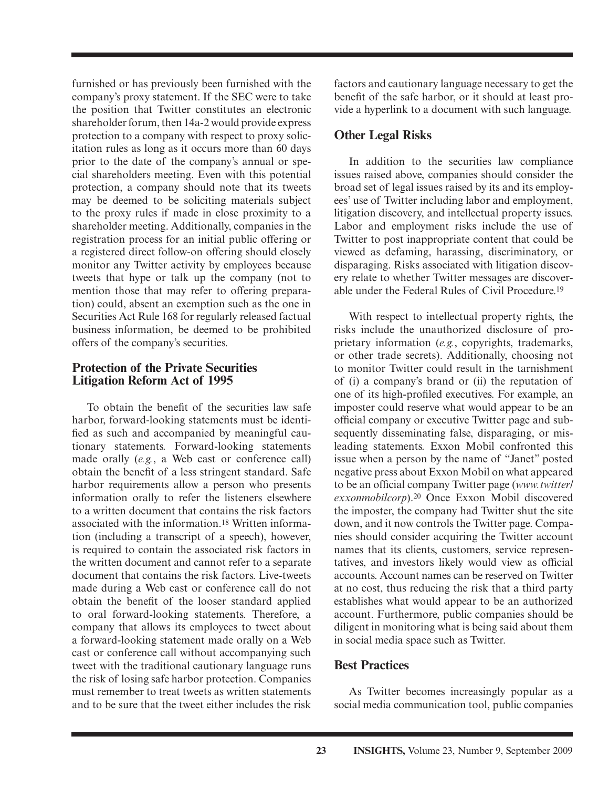furnished or has previously been furnished with the company's proxy statement. If the SEC were to take the position that Twitter constitutes an electronic shareholder forum, then 14a-2 would provide express protection to a company with respect to proxy solicitation rules as long as it occurs more than 60 days prior to the date of the company's annual or special shareholders meeting. Even with this potential protection, a company should note that its tweets may be deemed to be soliciting materials subject to the proxy rules if made in close proximity to a shareholder meeting. Additionally, companies in the registration process for an initial public offering or a registered direct follow-on offering should closely monitor any Twitter activity by employees because tweets that hype or talk up the company (not to mention those that may refer to offering preparation) could, absent an exemption such as the one in Securities Act Rule 168 for regularly released factual business information, be deemed to be prohibited offers of the company's securities.

### **Protection of the Private Securities Litigation Reform Act of 1995**

To obtain the benefit of the securities law safe harbor, forward-looking statements must be identified as such and accompanied by meaningful cautionary statements. Forward-looking statements made orally (*e.g.*, a Web cast or conference call) obtain the benefit of a less stringent standard. Safe harbor requirements allow a person who presents information orally to refer the listeners elsewhere to a written document that contains the risk factors associated with the information. 18 Written information (including a transcript of a speech), however, is required to contain the associated risk factors in the written document and cannot refer to a separate document that contains the risk factors. Live-tweets made during a Web cast or conference call do not obtain the benefit of the looser standard applied to oral forward-looking statements. Therefore, a company that allows its employees to tweet about a forward-looking statement made orally on a Web cast or conference call without accompanying such tweet with the traditional cautionary language runs the risk of losing safe harbor protection. Companies must remember to treat tweets as written statements and to be sure that the tweet either includes the risk

factors and cautionary language necessary to get the benefit of the safe harbor, or it should at least provide a hyperlink to a document with such language.

# **Other Legal Risks**

 In addition to the securities law compliance issues raised above, companies should consider the broad set of legal issues raised by its and its employees' use of Twitter including labor and employment, litigation discovery, and intellectual property issues. Labor and employment risks include the use of Twitter to post inappropriate content that could be viewed as defaming, harassing, discriminatory, or disparaging. Risks associated with litigation discovery relate to whether Twitter messages are discoverable under the Federal Rules of Civil Procedure. 19

 With respect to intellectual property rights, the risks include the unauthorized disclosure of proprietary information (*e.g.*, copyrights, trademarks, or other trade secrets). Additionally, choosing not to monitor Twitter could result in the tarnishment of (i) a company's brand or (ii) the reputation of one of its high-profiled executives. For example, an imposter could reserve what would appear to be an official company or executive Twitter page and subsequently disseminating false, disparaging, or misleading statements. Exxon Mobil confronted this issue when a person by the name of "Janet" posted negative press about Exxon Mobil on what appeared to be an official company Twitter page (*www.twitter*) exxonmobilcorp).<sup>20</sup> Once Exxon Mobil discovered the imposter, the company had Twitter shut the site down, and it now controls the Twitter page. Companies should consider acquiring the Twitter account names that its clients, customers, service representatives, and investors likely would view as official accounts. Account names can be reserved on Twitter at no cost, thus reducing the risk that a third party establishes what would appear to be an authorized account. Furthermore, public companies should be diligent in monitoring what is being said about them in social media space such as Twitter.

# **Best Practices**

 As Twitter becomes increasingly popular as a social media communication tool, public companies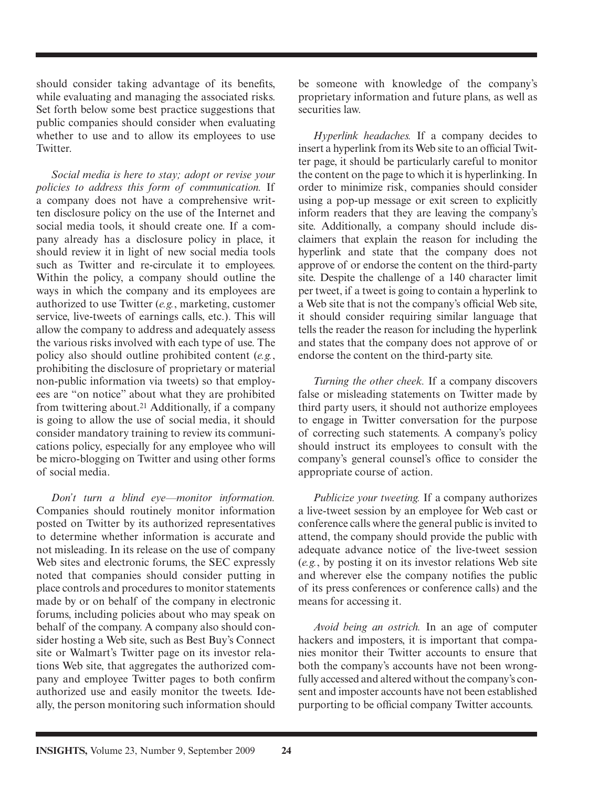should consider taking advantage of its benefits, while evaluating and managing the associated risks. Set forth below some best practice suggestions that public companies should consider when evaluating whether to use and to allow its employees to use Twitter.

*Social media is here to stay; adopt or revise your policies to address this form of communication.* If a company does not have a comprehensive written disclosure policy on the use of the Internet and social media tools, it should create one. If a company already has a disclosure policy in place, it should review it in light of new social media tools such as Twitter and re-circulate it to employees. Within the policy, a company should outline the ways in which the company and its employees are authorized to use Twitter (*e.g.*, marketing, customer service, live-tweets of earnings calls, etc.). This will allow the company to address and adequately assess the various risks involved with each type of use. The policy also should outline prohibited content (*e.g.*, prohibiting the disclosure of proprietary or material non-public information via tweets) so that employees are "on notice" about what they are prohibited from twittering about.<sup>21</sup> Additionally, if a company is going to allow the use of social media, it should consider mandatory training to review its communications policy, especially for any employee who will be micro-blogging on Twitter and using other forms of social media.

*Don't turn a blind eye—monitor information.* Companies should routinely monitor information posted on Twitter by its authorized representatives to determine whether information is accurate and not misleading. In its release on the use of company Web sites and electronic forums, the SEC expressly noted that companies should consider putting in place controls and procedures to monitor statements made by or on behalf of the company in electronic forums, including policies about who may speak on behalf of the company. A company also should consider hosting a Web site, such as Best Buy's Connect site or Walmart's Twitter page on its investor relations Web site, that aggregates the authorized company and employee Twitter pages to both confirm authorized use and easily monitor the tweets. Ideally, the person monitoring such information should

be someone with knowledge of the company's proprietary information and future plans, as well as securities law.

*Hyperlink headaches.* If a company decides to insert a hyperlink from its Web site to an official Twitter page, it should be particularly careful to monitor the content on the page to which it is hyperlinking. In order to minimize risk, companies should consider using a pop-up message or exit screen to explicitly inform readers that they are leaving the company's site. Additionally, a company should include disclaimers that explain the reason for including the hyperlink and state that the company does not approve of or endorse the content on the third-party site. Despite the challenge of a 140 character limit per tweet, if a tweet is going to contain a hyperlink to a Web site that is not the company's official Web site, it should consider requiring similar language that tells the reader the reason for including the hyperlink and states that the company does not approve of or endorse the content on the third-party site.

*Turning the other cheek.* If a company discovers false or misleading statements on Twitter made by third party users, it should not authorize employees to engage in Twitter conversation for the purpose of correcting such statements. A company's policy should instruct its employees to consult with the company's general counsel's office to consider the appropriate course of action.

*Publicize your tweeting.* If a company authorizes a live-tweet session by an employee for Web cast or conference calls where the general public is invited to attend, the company should provide the public with adequate advance notice of the live-tweet session ( *e.g.* , by posting it on its investor relations Web site and wherever else the company notifies the public of its press conferences or conference calls) and the means for accessing it.

*Avoid being an ostrich.* In an age of computer hackers and imposters, it is important that companies monitor their Twitter accounts to ensure that both the company's accounts have not been wrongfully accessed and altered without the company's consent and imposter accounts have not been established purporting to be official company Twitter accounts.